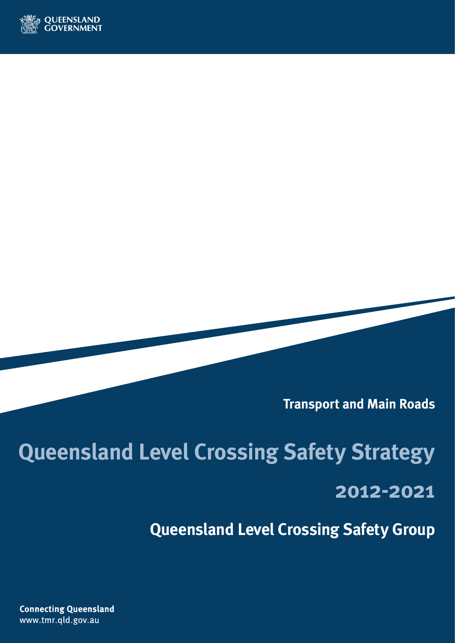

**Transport and Main Roads**

## **Queensland Level Crossing Safety Strategy 2012-2021**

**Queensland Level Crossing Safety Group**

**Connecting Queensland** www.tmr.qld.gov.au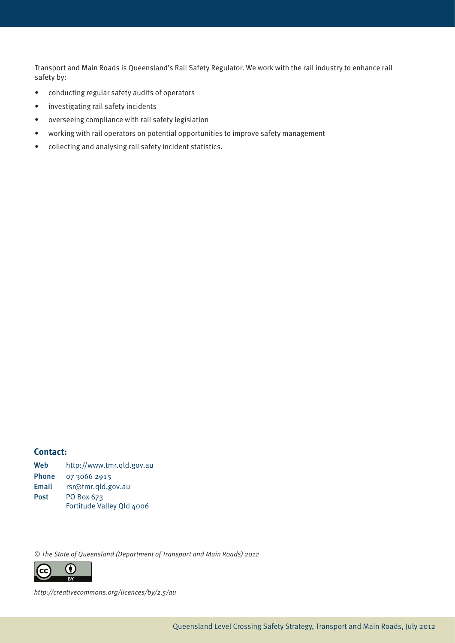Transport and Main Roads is Queensland's Rail Safety Regulator. We work with the rail industry to enhance rail safety by:

- conducting regular safety audits of operators
- investigating rail safety incidents
- overseeing compliance with rail safety legislation
- working with rail operators on potential opportunities to improve safety management
- collecting and analysing rail safety incident statistics.

#### **Contact:**

| Web          | http://www.tmr.gld.gov.au |
|--------------|---------------------------|
| <b>Phone</b> | 07 3066 2915              |
| Email        | rsr@tmr.qld.gov.au        |
| <b>Post</b>  | PO Box 673                |
|              | Fortitude Valley Qld 4006 |

© The State of Queensland (Department of Transport and Main Roads) 2012



http://creativecommons.org/licences/by/2.5/au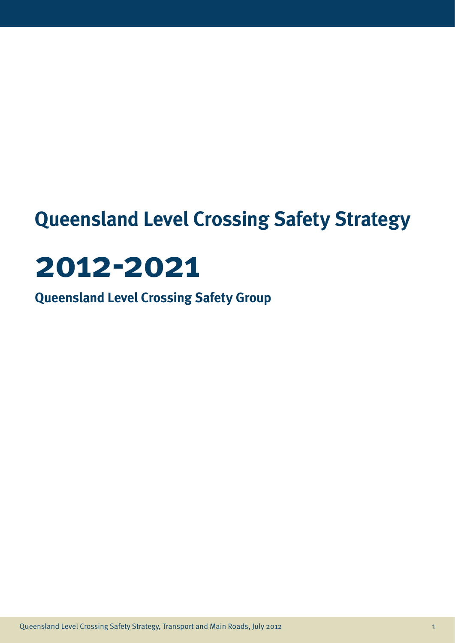### **Queensland Level Crossing Safety Strategy**

# **2012-2021**

**Queensland Level Crossing Safety Group**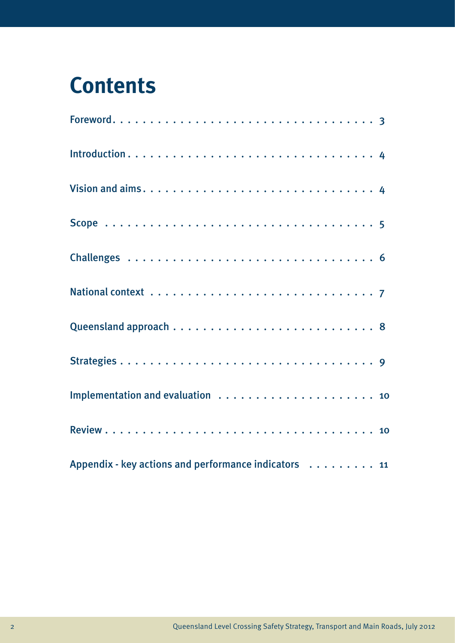### **Contents**

| Appendix - key actions and performance indicators 11 |  |
|------------------------------------------------------|--|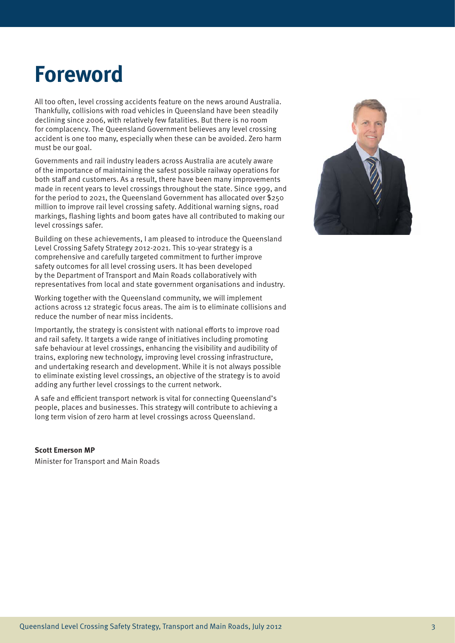### **Foreword**

All too often, level crossing accidents feature on the news around Australia. Thankfully, collisions with road vehicles in Queensland have been steadily declining since 2006, with relatively few fatalities. But there is no room for complacency. The Queensland Government believes any level crossing accident is one too many, especially when these can be avoided. Zero harm must be our goal.

Governments and rail industry leaders across Australia are acutely aware of the importance of maintaining the safest possible railway operations for both staff and customers. As a result, there have been many improvements made in recent years to level crossings throughout the state. Since 1999, and for the period to 2021, the Queensland Government has allocated over \$250 million to improve rail level crossing safety. Additional warning signs, road markings, flashing lights and boom gates have all contributed to making our level crossings safer.

Building on these achievements, I am pleased to introduce the Queensland Level Crossing Safety Strategy 2012-2021. This 10-year strategy is a comprehensive and carefully targeted commitment to further improve safety outcomes for all level crossing users. It has been developed by the Department of Transport and Main Roads collaboratively with representatives from local and state government organisations and industry.

Working together with the Queensland community, we will implement actions across 12 strategic focus areas. The aim is to eliminate collisions and reduce the number of near miss incidents.

Importantly, the strategy is consistent with national efforts to improve road and rail safety. It targets a wide range of initiatives including promoting safe behaviour at level crossings, enhancing the visibility and audibility of trains, exploring new technology, improving level crossing infrastructure, and undertaking research and development. While it is not always possible to eliminate existing level crossings, an objective of the strategy is to avoid adding any further level crossings to the current network.

A safe and efficient transport network is vital for connecting Queensland's people, places and businesses. This strategy will contribute to achieving a long term vision of zero harm at level crossings across Queensland.

#### **Scott Emerson MP**

Minister for Transport and Main Roads

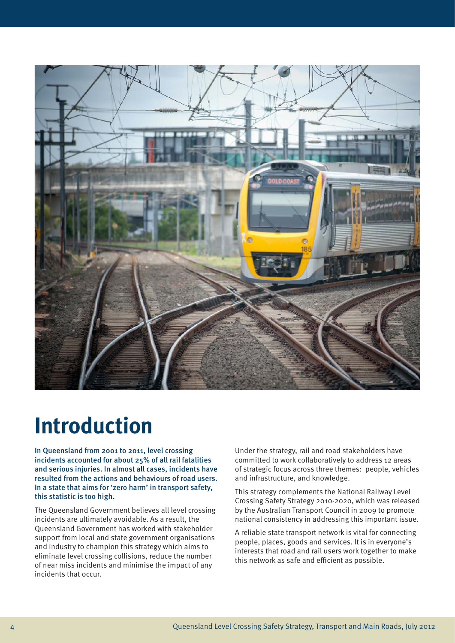

### **Introduction**

In Queensland from 2001 to 2011, level crossing incidents accounted for about 25% of all rail fatalities and serious injuries. In almost all cases, incidents have resulted from the actions and behaviours of road users. In a state that aims for 'zero harm' in transport safety, this statistic is too high.

The Queensland Government believes all level crossing incidents are ultimately avoidable. As a result, the Queensland Government has worked with stakeholder support from local and state government organisations and industry to champion this strategy which aims to eliminate level crossing collisions, reduce the number of near miss incidents and minimise the impact of any incidents that occur.

Under the strategy, rail and road stakeholders have committed to work collaboratively to address 12 areas of strategic focus across three themes: people, vehicles and infrastructure, and knowledge.

This strategy complements the National Railway Level Crossing Safety Strategy 2010-2020, which was released by the Australian Transport Council in 2009 to promote national consistency in addressing this important issue.

A reliable state transport network is vital for connecting people, places, goods and services. It is in everyone's interests that road and rail users work together to make this network as safe and efficient as possible.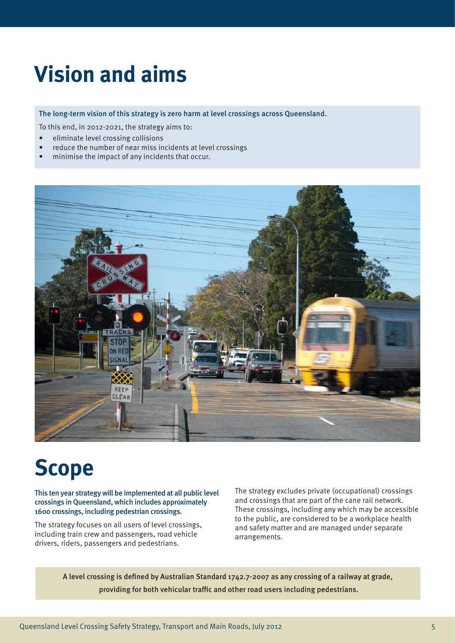### **Vision and aims**

The long-term vision of this strategy is zero harm at level crossings across Queensland.

To this end, in 2012-2021, the strategy aims to:

- • eliminate level crossing collisions
- reduce the number of near miss incidents at level crossings
- minimise the impact of any incidents that occur.



### **Scope**

This ten year strategy will be implemented at all public level crossings in Queensland, which includes approximately 1600 crossings, including pedestrian crossings.

The strategy focuses on all users of level crossings, including train crew and passengers, road vehicle drivers, riders, passengers and pedestrians.

The strategy excludes private (occupational) crossings and crossings that are part of the cane rail network. These crossings, including any which may be accessible to the public, are considered to be a workplace health and safety matter and are managed under separate arrangements.

A level crossing is defined by Australian Standard 1742.7-2007 as any crossing of a railway at grade, providing for both vehicular traffic and other road users including pedestrians.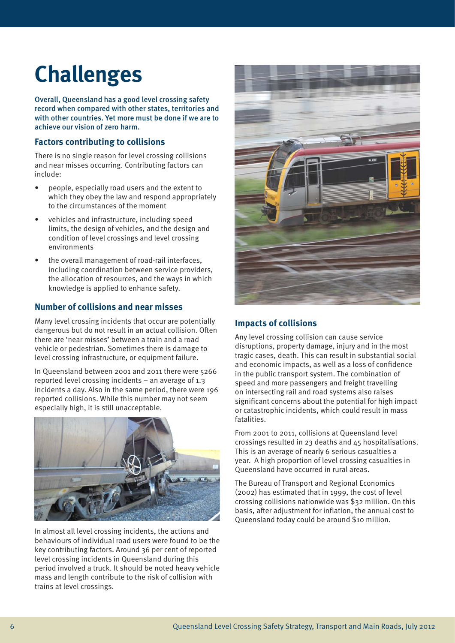## **Challenges**

Overall, Queensland has a good level crossing safety record when compared with other states, territories and with other countries. Yet more must be done if we are to achieve our vision of zero harm.

#### **Factors contributing to collisions**

There is no single reason for level crossing collisions and near misses occurring. Contributing factors can include:

- people, especially road users and the extent to which they obey the law and respond appropriately to the circumstances of the moment
- vehicles and infrastructure, including speed limits, the design of vehicles, and the design and condition of level crossings and level crossing environments
- the overall management of road-rail interfaces, including coordination between service providers, the allocation of resources, and the ways in which knowledge is applied to enhance safety.

#### **Number of collisions and near misses**

Many level crossing incidents that occur are potentially dangerous but do not result in an actual collision. Often there are 'near misses' between a train and a road vehicle or pedestrian. Sometimes there is damage to level crossing infrastructure, or equipment failure.

In Queensland between 2001 and 2011 there were 5266 reported level crossing incidents – an average of 1.3 incidents a day. Also in the same period, there were 196 reported collisions. While this number may not seem especially high, it is still unacceptable.



In almost all level crossing incidents, the actions and behaviours of individual road users were found to be the key contributing factors. Around 36 per cent of reported level crossing incidents in Queensland during this period involved a truck. It should be noted heavy vehicle mass and length contribute to the risk of collision with trains at level crossings.



#### **Impacts of collisions**

Any level crossing collision can cause service disruptions, property damage, injury and in the most tragic cases, death. This can result in substantial social and economic impacts, as well as a loss of confidence in the public transport system. The combination of speed and more passengers and freight travelling on intersecting rail and road systems also raises significant concerns about the potential for high impact or catastrophic incidents, which could result in mass fatalities.

From 2001 to 2011, collisions at Queensland level crossings resulted in 23 deaths and 45 hospitalisations. This is an average of nearly 6 serious casualties a year. A high proportion of level crossing casualties in Queensland have occurred in rural areas.

The Bureau of Transport and Regional Economics (2002) has estimated that in 1999, the cost of level crossing collisions nationwide was \$32 million. On this basis, after adjustment for inflation, the annual cost to Queensland today could be around \$10 million.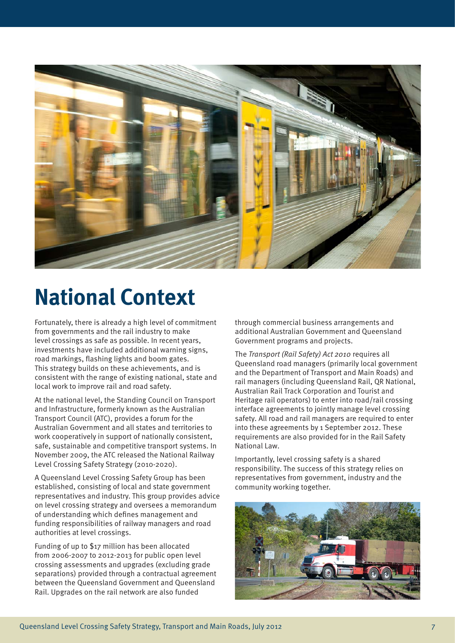

### **National Context**

Fortunately, there is already a high level of commitment from governments and the rail industry to make level crossings as safe as possible. In recent years, investments have included additional warning signs, road markings, flashing lights and boom gates. This strategy builds on these achievements, and is consistent with the range of existing national, state and local work to improve rail and road safety.

At the national level, the Standing Council on Transport and Infrastructure, formerly known as the Australian Transport Council (ATC), provides a forum for the Australian Government and all states and territories to work cooperatively in support of nationally consistent, safe, sustainable and competitive transport systems. In November 2009, the ATC released the National Railway Level Crossing Safety Strategy (2010-2020).

A Queensland Level Crossing Safety Group has been established, consisting of local and state government representatives and industry. This group provides advice on level crossing strategy and oversees a memorandum of understanding which defines management and funding responsibilities of railway managers and road authorities at level crossings.

Funding of up to \$17 million has been allocated from 2006-2007 to 2012-2013 for public open level crossing assessments and upgrades (excluding grade separations) provided through a contractual agreement between the Queensland Government and Queensland Rail. Upgrades on the rail network are also funded

through commercial business arrangements and additional Australian Government and Queensland Government programs and projects.

The Transport (Rail Safety) Act 2010 requires all Queensland road managers (primarily local government and the Department of Transport and Main Roads) and rail managers (including Queensland Rail, QR National, Australian Rail Track Corporation and Tourist and Heritage rail operators) to enter into road/rail crossing interface agreements to jointly manage level crossing safety. All road and rail managers are required to enter into these agreements by 1 September 2012. These requirements are also provided for in the Rail Safety National Law.

Importantly, level crossing safety is a shared responsibility. The success of this strategy relies on representatives from government, industry and the community working together.

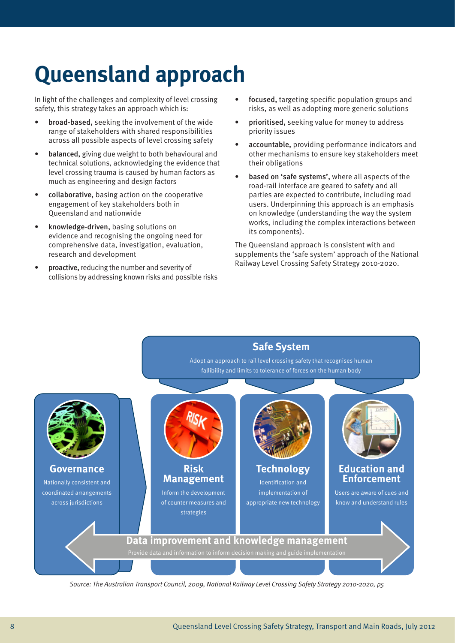## **Queensland approach**

In light of the challenges and complexity of level crossing safety, this strategy takes an approach which is:

- broad-based, seeking the involvement of the wide range of stakeholders with shared responsibilities across all possible aspects of level crossing safety
- balanced, giving due weight to both behavioural and technical solutions, acknowledging the evidence that level crossing trauma is caused by human factors as much as engineering and design factors
- collaborative, basing action on the cooperative engagement of key stakeholders both in Queensland and nationwide
- knowledge-driven, basing solutions on evidence and recognising the ongoing need for comprehensive data, investigation, evaluation, research and development
- proactive, reducing the number and severity of collisions by addressing known risks and possible risks
- focused, targeting specific population groups and risks, as well as adopting more generic solutions
- prioritised, seeking value for money to address priority issues
- accountable, providing performance indicators and other mechanisms to ensure key stakeholders meet their obligations
- based on 'safe systems', where all aspects of the road-rail interface are geared to safety and all parties are expected to contribute, including road users. Underpinning this approach is an emphasis on knowledge (understanding the way the system works, including the complex interactions between its components).

The Queensland approach is consistent with and supplements the 'safe system' approach of the National Railway Level Crossing Safety Strategy 2010-2020.



Source: The Australian Transport Council, 2009, National Railway Level Crossing Safety Strategy 2010-2020, p5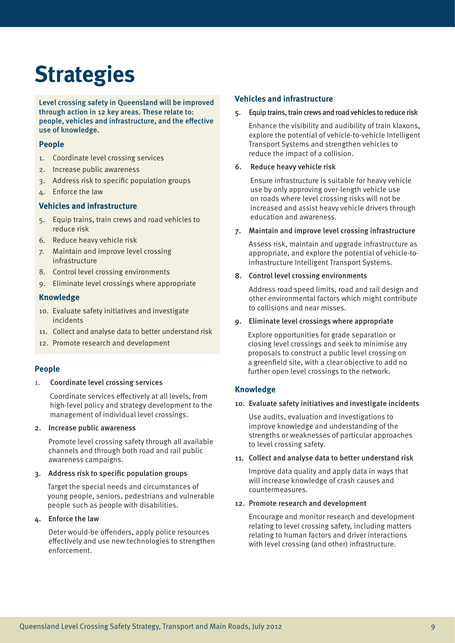## **Strategies**

Level crossing safety in Queensland will be improved through action in 12 key areas. These relate to: people, vehicles and infrastructure, and the effective use of knowledge.

#### **People**

- 1. Coordinate level crossing services
- 2. Increase public awareness
- 3. Address risk to specific population groups
- 4. Enforce the law

#### **Vehicles and infrastructure**

- 5. Equip trains, train crews and road vehicles to reduce risk
- 6. Reduce heavy vehicle risk
- 7. Maintain and improve level crossing infrastructure
- 8. Control level crossing environments
- 9. Eliminate level crossings where appropriate

#### **Knowledge**

- 10. Evaluate safety initiatives and investigate incidents
- 11. Collect and analyse data to better understand risk
- 12. Promote research and development

#### **People**

1. Coordinate level crossing services

Coordinate services effectively at all levels, from high-level policy and strategy development to the management of individual level crossings.

2. Increase public awareness

Promote level crossing safety through all available channels and through both road and rail public awareness campaigns.

#### 3. Address risk to specific population groups

Target the special needs and circumstances of young people, seniors, pedestrians and vulnerable people such as people with disabilities.

4. Enforce the law

Deter would-be offenders, apply police resources effectively and use new technologies to strengthen enforcement.

#### **Vehicles and infrastructure**

5. Equip trains, train crews and road vehicles to reduce risk

Enhance the visibility and audibility of train klaxons, explore the potential of vehicle-to-vehicle Intelligent Transport Systems and strengthen vehicles to reduce the impact of a collision.

#### 6. Reduce heavy vehicle risk

Ensure infrastructure is suitable for heavy vehicle use by only approving over-length vehicle use on roads where level crossing risks will not be increased and assist heavy vehicle drivers through education and awareness.

#### 7. Maintain and improve level crossing infrastructure

Assess risk, maintain and upgrade infrastructure as appropriate, and explore the potential of vehicle-toinfrastructure Intelligent Transport Systems.

#### 8. Control level crossing environments

Address road speed limits, road and rail design and other environmental factors which might contribute to collisions and near misses.

#### 9. Eliminate level crossings where appropriate

Explore opportunities for grade separation or closing level crossings and seek to minimise any proposals to construct a public level crossing on a greenfield site, with a clear objective to add no further open level crossings to the network.

#### **Knowledge**

#### 10. Evaluate safety initiatives and investigate incidents

Use audits, evaluation and investigations to improve knowledge and understanding of the strengths or weaknesses of particular approaches to level crossing safety.

#### 11. Collect and analyse data to better understand risk

Improve data quality and apply data in ways that will increase knowledge of crash causes and countermeasures.

#### 12. Promote research and development

Encourage and monitor research and development relating to level crossing safety, including matters relating to human factors and driver interactions with level crossing (and other) infrastructure.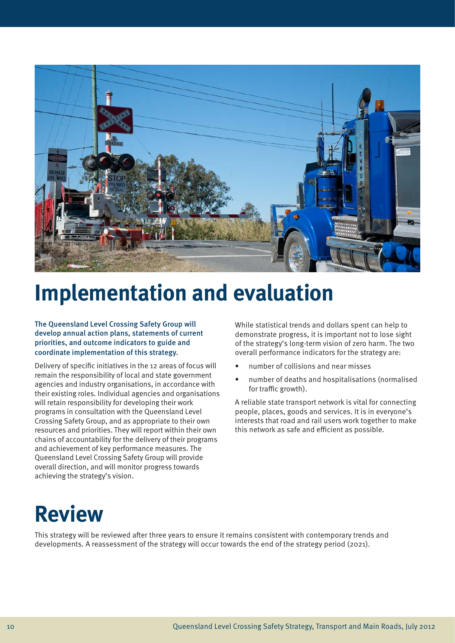

### **Implementation and evaluation**

The Queensland Level Crossing Safety Group will develop annual action plans, statements of current priorities, and outcome indicators to guide and coordinate implementation of this strategy.

Delivery of specific initiatives in the 12 areas of focus will remain the responsibility of local and state government agencies and industry organisations, in accordance with their existing roles. Individual agencies and organisations will retain responsibility for developing their work programs in consultation with the Queensland Level Crossing Safety Group, and as appropriate to their own resources and priorities. They will report within their own chains of accountability for the delivery of their programs and achievement of key performance measures. The Queensland Level Crossing Safety Group will provide overall direction, and will monitor progress towards achieving the strategy's vision.

While statistical trends and dollars spent can help to demonstrate progress, it is important not to lose sight of the strategy's long-term vision of zero harm. The two overall performance indicators for the strategy are:

- number of collisions and near misses
- number of deaths and hospitalisations (normalised for traffic growth).

A reliable state transport network is vital for connecting people, places, goods and services. It is in everyone's interests that road and rail users work together to make this network as safe and efficient as possible.

### **Review**

This strategy will be reviewed after three years to ensure it remains consistent with contemporary trends and developments. A reassessment of the strategy will occur towards the end of the strategy period (2021).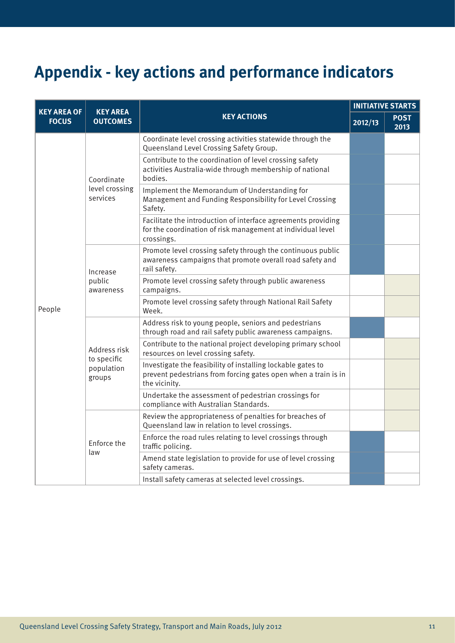### **Appendix - key actions and performance indicators**

| <b>KEY AREA OF</b><br><b>FOCUS</b> | <b>KEY AREA</b><br><b>OUTCOMES</b>                  | <b>KEY ACTIONS</b>                                                                                                                             | <b>INITIATIVE STARTS</b> |                     |
|------------------------------------|-----------------------------------------------------|------------------------------------------------------------------------------------------------------------------------------------------------|--------------------------|---------------------|
|                                    |                                                     |                                                                                                                                                | 2012/13                  | <b>POST</b><br>2013 |
| People                             | Coordinate<br>level crossing<br>services            | Coordinate level crossing activities statewide through the<br>Queensland Level Crossing Safety Group.                                          |                          |                     |
|                                    |                                                     | Contribute to the coordination of level crossing safety<br>activities Australia-wide through membership of national<br>bodies.                 |                          |                     |
|                                    |                                                     | Implement the Memorandum of Understanding for<br>Management and Funding Responsibility for Level Crossing<br>Safety.                           |                          |                     |
|                                    |                                                     | Facilitate the introduction of interface agreements providing<br>for the coordination of risk management at individual level<br>crossings.     |                          |                     |
|                                    | Increase<br>public<br>awareness                     | Promote level crossing safety through the continuous public<br>awareness campaigns that promote overall road safety and<br>rail safety.        |                          |                     |
|                                    |                                                     | Promote level crossing safety through public awareness<br>campaigns.                                                                           |                          |                     |
|                                    |                                                     | Promote level crossing safety through National Rail Safety<br>Week.                                                                            |                          |                     |
|                                    | Address risk<br>to specific<br>population<br>groups | Address risk to young people, seniors and pedestrians<br>through road and rail safety public awareness campaigns.                              |                          |                     |
|                                    |                                                     | Contribute to the national project developing primary school<br>resources on level crossing safety.                                            |                          |                     |
|                                    |                                                     | Investigate the feasibility of installing lockable gates to<br>prevent pedestrians from forcing gates open when a train is in<br>the vicinity. |                          |                     |
|                                    |                                                     | Undertake the assessment of pedestrian crossings for<br>compliance with Australian Standards.                                                  |                          |                     |
|                                    | Enforce the<br>law                                  | Review the appropriateness of penalties for breaches of<br>Queensland law in relation to level crossings.                                      |                          |                     |
|                                    |                                                     | Enforce the road rules relating to level crossings through<br>traffic policing.                                                                |                          |                     |
|                                    |                                                     | Amend state legislation to provide for use of level crossing<br>safety cameras.                                                                |                          |                     |
|                                    |                                                     | Install safety cameras at selected level crossings.                                                                                            |                          |                     |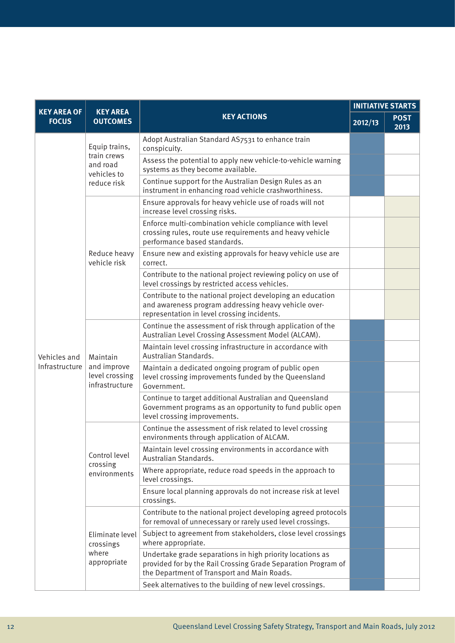| <b>KEY AREA OF</b> | <b>KEY AREA</b><br><b>KEY ACTIONS</b><br><b>OUTCOMES</b>               | <b>INITIATIVE STARTS</b>                                                                                                                                                  |         |                     |
|--------------------|------------------------------------------------------------------------|---------------------------------------------------------------------------------------------------------------------------------------------------------------------------|---------|---------------------|
| <b>FOCUS</b>       |                                                                        |                                                                                                                                                                           | 2012/13 | <b>POST</b><br>2013 |
|                    | Equip trains,<br>train crews<br>and road<br>vehicles to<br>reduce risk | Adopt Australian Standard AS7531 to enhance train<br>conspicuity.                                                                                                         |         |                     |
|                    |                                                                        | Assess the potential to apply new vehicle-to-vehicle warning<br>systems as they become available.                                                                         |         |                     |
|                    |                                                                        | Continue support for the Australian Design Rules as an<br>instrument in enhancing road vehicle crashworthiness.                                                           |         |                     |
|                    | Reduce heavy<br>vehicle risk                                           | Ensure approvals for heavy vehicle use of roads will not<br>increase level crossing risks.                                                                                |         |                     |
|                    |                                                                        | Enforce multi-combination vehicle compliance with level<br>crossing rules, route use requirements and heavy vehicle<br>performance based standards.                       |         |                     |
|                    |                                                                        | Ensure new and existing approvals for heavy vehicle use are<br>correct.                                                                                                   |         |                     |
|                    |                                                                        | Contribute to the national project reviewing policy on use of<br>level crossings by restricted access vehicles.                                                           |         |                     |
|                    |                                                                        | Contribute to the national project developing an education<br>and awareness program addressing heavy vehicle over-<br>representation in level crossing incidents.         |         |                     |
|                    | Maintain<br>and improve<br>level crossing<br>infrastructure            | Continue the assessment of risk through application of the<br>Australian Level Crossing Assessment Model (ALCAM).                                                         |         |                     |
| Vehicles and       |                                                                        | Maintain level crossing infrastructure in accordance with<br>Australian Standards.                                                                                        |         |                     |
| Infrastructure     |                                                                        | Maintain a dedicated ongoing program of public open<br>level crossing improvements funded by the Queensland<br>Government.                                                |         |                     |
|                    |                                                                        | Continue to target additional Australian and Queensland<br>Government programs as an opportunity to fund public open<br>level crossing improvements.                      |         |                     |
|                    | Control level<br>crossing<br>environments                              | Continue the assessment of risk related to level crossing<br>environments through application of ALCAM.                                                                   |         |                     |
|                    |                                                                        | Maintain level crossing environments in accordance with<br>Australian Standards.                                                                                          |         |                     |
|                    |                                                                        | Where appropriate, reduce road speeds in the approach to<br>level crossings.                                                                                              |         |                     |
|                    |                                                                        | Ensure local planning approvals do not increase risk at level<br>crossings.                                                                                               |         |                     |
|                    | Eliminate level<br>crossings<br>where<br>appropriate                   | Contribute to the national project developing agreed protocols<br>for removal of unnecessary or rarely used level crossings.                                              |         |                     |
|                    |                                                                        | Subject to agreement from stakeholders, close level crossings<br>where appropriate.                                                                                       |         |                     |
|                    |                                                                        | Undertake grade separations in high priority locations as<br>provided for by the Rail Crossing Grade Separation Program of<br>the Department of Transport and Main Roads. |         |                     |
|                    |                                                                        | Seek alternatives to the building of new level crossings.                                                                                                                 |         |                     |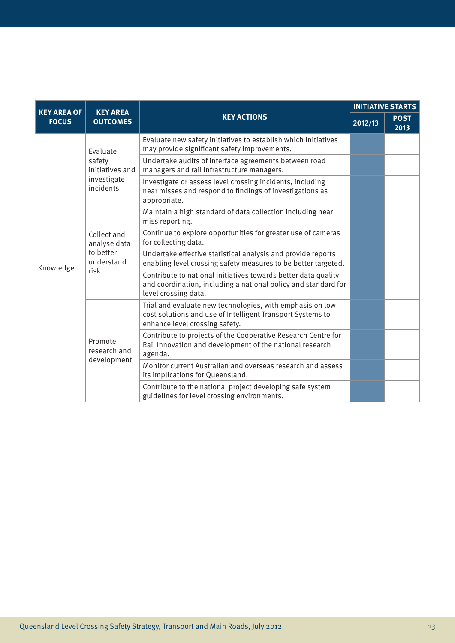| <b>KEY AREA OF</b><br><b>FOCUS</b> | <b>KEY AREA</b><br><b>OUTCOMES</b>                                | <b>KEY ACTIONS</b>                                                                                                                                        | <b>INITIATIVE STARTS</b> |                     |
|------------------------------------|-------------------------------------------------------------------|-----------------------------------------------------------------------------------------------------------------------------------------------------------|--------------------------|---------------------|
|                                    |                                                                   |                                                                                                                                                           | 2012/13                  | <b>POST</b><br>2013 |
| Knowledge                          | Evaluate<br>safety<br>initiatives and<br>investigate<br>incidents | Evaluate new safety initiatives to establish which initiatives<br>may provide significant safety improvements.                                            |                          |                     |
|                                    |                                                                   | Undertake audits of interface agreements between road<br>managers and rail infrastructure managers.                                                       |                          |                     |
|                                    |                                                                   | Investigate or assess level crossing incidents, including<br>near misses and respond to findings of investigations as<br>appropriate.                     |                          |                     |
|                                    | Collect and<br>analyse data<br>to better<br>understand<br>risk    | Maintain a high standard of data collection including near<br>miss reporting.                                                                             |                          |                     |
|                                    |                                                                   | Continue to explore opportunities for greater use of cameras<br>for collecting data.                                                                      |                          |                     |
|                                    |                                                                   | Undertake effective statistical analysis and provide reports<br>enabling level crossing safety measures to be better targeted.                            |                          |                     |
|                                    |                                                                   | Contribute to national initiatives towards better data quality<br>and coordination, including a national policy and standard for<br>level crossing data.  |                          |                     |
|                                    | Promote<br>research and<br>development                            | Trial and evaluate new technologies, with emphasis on low<br>cost solutions and use of Intelligent Transport Systems to<br>enhance level crossing safety. |                          |                     |
|                                    |                                                                   | Contribute to projects of the Cooperative Research Centre for<br>Rail Innovation and development of the national research<br>agenda.                      |                          |                     |
|                                    |                                                                   | Monitor current Australian and overseas research and assess<br>its implications for Queensland.                                                           |                          |                     |
|                                    |                                                                   | Contribute to the national project developing safe system<br>guidelines for level crossing environments.                                                  |                          |                     |